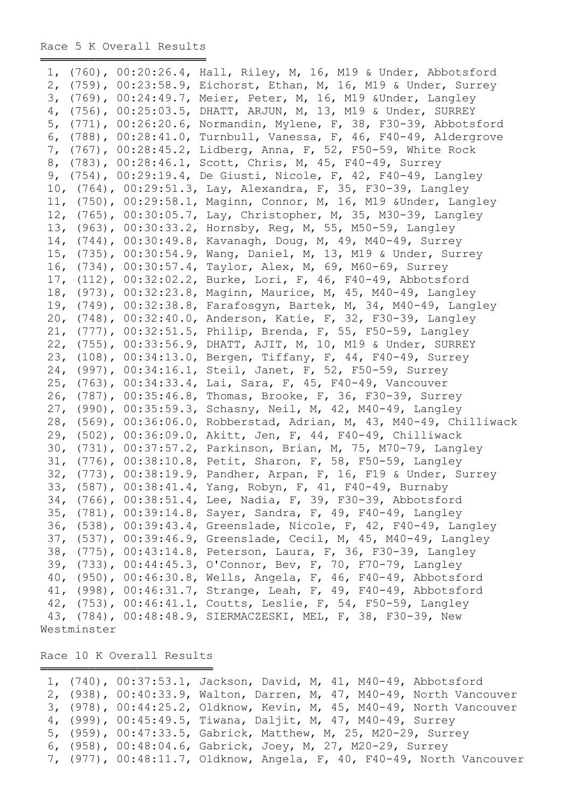═════════════════════════════════════

|             | 1, (760), 00:20:26.4, Hall, Riley, M, 16, M19 & Under, Abbotsford    |
|-------------|----------------------------------------------------------------------|
|             | 2, (759), 00:23:58.9, Eichorst, Ethan, M, 16, M19 & Under, Surrey    |
|             | 3, (769), 00:24:49.7, Meier, Peter, M, 16, M19 & Under, Langley      |
|             | 4, (756), 00:25:03.5, DHATT, ARJUN, M, 13, M19 & Under, SURREY       |
|             | 5, (771), 00:26:20.6, Normandin, Mylene, F, 38, F30-39, Abbotsford   |
|             | 6, (788), 00:28:41.0, Turnbull, Vanessa, F, 46, F40-49, Aldergrove   |
|             | 7, (767), 00:28:45.2, Lidberg, Anna, F, 52, F50-59, White Rock       |
|             | 8, (783), 00:28:46.1, Scott, Chris, M, 45, F40-49, Surrey            |
|             | 9, (754), 00:29:19.4, De Giusti, Nicole, F, 42, F40-49, Langley      |
|             | 10, (764), 00:29:51.3, Lay, Alexandra, F, 35, F30-39, Langley        |
|             | 11, (750), 00:29:58.1, Maginn, Connor, M, 16, M19 & Under, Langley   |
|             | 12, (765), 00:30:05.7, Lay, Christopher, M, 35, M30-39, Langley      |
|             | 13, (963), 00:30:33.2, Hornsby, Reg, M, 55, M50-59, Langley          |
|             | 14, (744), 00:30:49.8, Kavanagh, Doug, M, 49, M40-49, Surrey         |
|             | 15, (735), 00:30:54.9, Wang, Daniel, M, 13, M19 & Under, Surrey      |
|             | 16, (734), 00:30:57.4, Taylor, Alex, M, 69, M60-69, Surrey           |
|             | 17, (112), 00:32:02.2, Burke, Lori, F, 46, F40-49, Abbotsford        |
|             | 18, (973), 00:32:23.8, Maginn, Maurice, M, 45, M40-49, Langley       |
|             | 19, (749), 00:32:38.8, Farafosgyn, Bartek, M, 34, M40-49, Langley    |
|             | 20, (748), 00:32:40.0, Anderson, Katie, F, 32, F30-39, Langley       |
|             | 21, (777), 00:32:51.5, Philip, Brenda, F, 55, F50-59, Langley        |
|             | 22, (755), 00:33:56.9, DHATT, AJIT, M, 10, M19 & Under, SURREY       |
|             |                                                                      |
|             | 23, (108), 00:34:13.0, Bergen, Tiffany, F, 44, F40-49, Surrey        |
|             | 24, (997), 00:34:16.1, Steil, Janet, F, 52, F50-59, Surrey           |
|             | 25, (763), 00:34:33.4, Lai, Sara, F, 45, F40-49, Vancouver           |
|             | 26, (787), 00:35:46.8, Thomas, Brooke, F, 36, F30-39, Surrey         |
|             | 27, (990), 00:35:59.3, Schasny, Neil, M, 42, M40-49, Langley         |
|             | 28, (569), 00:36:06.0, Robberstad, Adrian, M, 43, M40-49, Chilliwack |
|             | 29, (502), 00:36:09.0, Akitt, Jen, F, 44, F40-49, Chilliwack         |
|             | 30, (731), 00:37:57.2, Parkinson, Brian, M, 75, M70-79, Langley      |
|             | 31, (776), 00:38:10.8, Petit, Sharon, F, 58, F50-59, Langley         |
|             | 32, (773), 00:38:19.9, Pandher, Arpan, F, 16, F19 & Under, Surrey    |
|             | 33, (587), 00:38:41.4, Yang, Robyn, F, 41, F40-49, Burnaby           |
|             | 34, (766), 00:38:51.4, Lee, Nadia, F, 39, F30-39, Abbotsford         |
|             | 35, (781), 00:39:14.8, Sayer, Sandra, F, 49, F40-49, Langley         |
|             | 36, (538), 00:39:43.4, Greenslade, Nicole, F, 42, F40-49, Langley    |
|             | 37, (537), 00:39:46.9, Greenslade, Cecil, M, 45, M40-49, Langley     |
|             | 38, (775), 00:43:14.8, Peterson, Laura, F, 36, F30-39, Langley       |
|             | 39, (733), 00:44:45.3, O'Connor, Bev, F, 70, F70-79, Langley         |
|             | 40, (950), 00:46:30.8, Wells, Angela, F, 46, F40-49, Abbotsford      |
|             | 41, (998), 00:46:31.7, Strange, Leah, F, 49, F40-49, Abbotsford      |
|             | 42, (753), 00:46:41.1, Coutts, Leslie, F, 54, F50-59, Langley        |
|             | 43, (784), 00:48:48.9, SIERMACZESKI, MEL, F, 38, F30-39, New         |
| Westminster |                                                                      |

Race 10 K Overall Results ═════════════════════════

|  | 1, (740), 00:37:53.1, Jackson, David, M, 41, M40-49, Abbotsford       |
|--|-----------------------------------------------------------------------|
|  | 2, (938), 00:40:33.9, Walton, Darren, M, 47, M40-49, North Vancouver  |
|  | 3, (978), 00:44:25.2, Oldknow, Kevin, M, 45, M40-49, North Vancouver  |
|  | 4, (999), 00:45:49.5, Tiwana, Daljit, M, 47, M40-49, Surrey           |
|  | 5, (959), 00:47:33.5, Gabrick, Matthew, M, 25, M20-29, Surrey         |
|  | 6, (958), 00:48:04.6, Gabrick, Joey, M, 27, M20-29, Surrey            |
|  | 7, (977), 00:48:11.7, Oldknow, Angela, F, 40, F40-49, North Vancouver |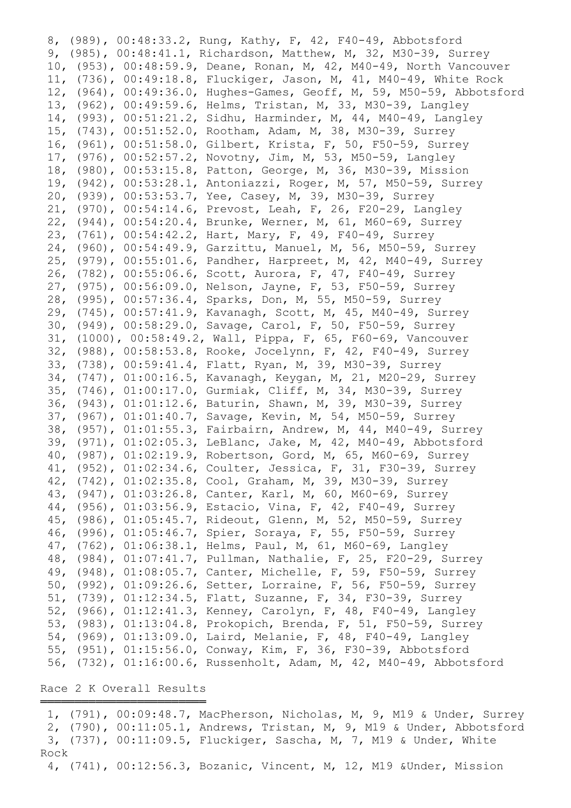8, (989), 00:48:33.2, Rung, Kathy, F, 42, F40-49, Abbotsford 9, (985), 00:48:41.1, Richardson, Matthew, M, 32, M30-39, Surrey 10, (953), 00:48:59.9, Deane, Ronan, M, 42, M40-49, North Vancouver 11, (736), 00:49:18.8, Fluckiger, Jason, M, 41, M40-49, White Rock 12, (964), 00:49:36.0, Hughes-Games, Geoff, M, 59, M50-59, Abbotsford 13, (962), 00:49:59.6, Helms, Tristan, M, 33, M30-39, Langley 14, (993), 00:51:21.2, Sidhu, Harminder, M, 44, M40-49, Langley 15, (743), 00:51:52.0, Rootham, Adam, M, 38, M30-39, Surrey 16, (961), 00:51:58.0, Gilbert, Krista, F, 50, F50-59, Surrey 17, (976), 00:52:57.2, Novotny, Jim, M, 53, M50-59, Langley 18, (980), 00:53:15.8, Patton, George, M, 36, M30-39, Mission 19, (942), 00:53:28.1, Antoniazzi, Roger, M, 57, M50-59, Surrey 20, (939), 00:53:53.7, Yee, Casey, M, 39, M30-39, Surrey 21, (970), 00:54:14.6, Prevost, Leah, F, 26, F20-29, Langley 22, (944), 00:54:20.4, Brunke, Werner, M, 61, M60-69, Surrey 23, (761), 00:54:42.2, Hart, Mary, F, 49, F40-49, Surrey 24, (960), 00:54:49.9, Garzittu, Manuel, M, 56, M50-59, Surrey 25, (979), 00:55:01.6, Pandher, Harpreet, M, 42, M40-49, Surrey 26, (782), 00:55:06.6, Scott, Aurora, F, 47, F40-49, Surrey 27, (975), 00:56:09.0, Nelson, Jayne, F, 53, F50-59, Surrey 28, (995), 00:57:36.4, Sparks, Don, M, 55, M50-59, Surrey 29, (745), 00:57:41.9, Kavanagh, Scott, M, 45, M40-49, Surrey 30, (949), 00:58:29.0, Savage, Carol, F, 50, F50-59, Surrey 31, (1000), 00:58:49.2, Wall, Pippa, F, 65, F60-69, Vancouver 32, (988), 00:58:53.8, Rooke, Jocelynn, F, 42, F40-49, Surrey 33, (738), 00:59:41.4, Flatt, Ryan, M, 39, M30-39, Surrey 34, (747), 01:00:16.5, Kavanagh, Keygan, M, 21, M20-29, Surrey 35, (746), 01:00:17.0, Gurmiak, Cliff, M, 34, M30-39, Surrey 36, (943), 01:01:12.6, Baturin, Shawn, M, 39, M30-39, Surrey 37, (967), 01:01:40.7, Savage, Kevin, M, 54, M50-59, Surrey 38, (957), 01:01:55.3, Fairbairn, Andrew, M, 44, M40-49, Surrey 39, (971), 01:02:05.3, LeBlanc, Jake, M, 42, M40-49, Abbotsford 40, (987), 01:02:19.9, Robertson, Gord, M, 65, M60-69, Surrey 41, (952), 01:02:34.6, Coulter, Jessica, F, 31, F30-39, Surrey 42, (742), 01:02:35.8, Cool, Graham, M, 39, M30-39, Surrey 43, (947), 01:03:26.8, Canter, Karl, M, 60, M60-69, Surrey 44, (956), 01:03:56.9, Estacio, Vina, F, 42, F40-49, Surrey 45, (986), 01:05:45.7, Rideout, Glenn, M, 52, M50-59, Surrey 46, (996), 01:05:46.7, Spier, Soraya, F, 55, F50-59, Surrey 47, (762), 01:06:38.1, Helms, Paul, M, 61, M60-69, Langley 48, (984), 01:07:41.7, Pullman, Nathalie, F, 25, F20-29, Surrey 49, (948), 01:08:05.7, Canter, Michelle, F, 59, F50-59, Surrey 50, (992), 01:09:26.6, Setter, Lorraine, F, 56, F50-59, Surrey 51, (739), 01:12:34.5, Flatt, Suzanne, F, 34, F30-39, Surrey 52, (966), 01:12:41.3, Kenney, Carolyn, F, 48, F40-49, Langley 53, (983), 01:13:04.8, Prokopich, Brenda, F, 51, F50-59, Surrey 54, (969), 01:13:09.0, Laird, Melanie, F, 48, F40-49, Langley 55, (951), 01:15:56.0, Conway, Kim, F, 36, F30-39, Abbotsford 56, (732), 01:16:00.6, Russenholt, Adam, M, 42, M40-49, Abbotsford

## Race 2 K Overall Results ════════════════════════

 1, (791), 00:09:48.7, MacPherson, Nicholas, M, 9, M19 & Under, Surrey 2, (790), 00:11:05.1, Andrews, Tristan, M, 9, M19 & Under, Abbotsford 3, (737), 00:11:09.5, Fluckiger, Sascha, M, 7, M19 & Under, White Rock

4, (741), 00:12:56.3, Bozanic, Vincent, M, 12, M19 &Under, Mission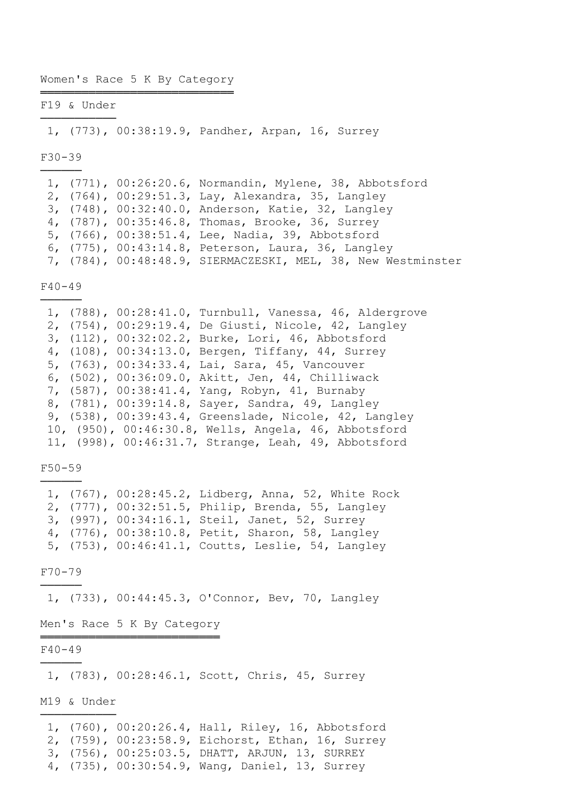#### Women's Race 5 K By Category ════════════════════════════

F19 & Under ───────────

1, (773), 00:38:19.9, Pandher, Arpan, 16, Surrey

F30-39 ──────

> 1, (771), 00:26:20.6, Normandin, Mylene, 38, Abbotsford 2, (764), 00:29:51.3, Lay, Alexandra, 35, Langley 3, (748), 00:32:40.0, Anderson, Katie, 32, Langley 4, (787), 00:35:46.8, Thomas, Brooke, 36, Surrey 5, (766), 00:38:51.4, Lee, Nadia, 39, Abbotsford 6, (775), 00:43:14.8, Peterson, Laura, 36, Langley 7, (784), 00:48:48.9, SIERMACZESKI, MEL, 38, New Westminster

F40-49 ──────

|  | 1, (788), 00:28:41.0, Turnbull, Vanessa, 46, Aldergrove |
|--|---------------------------------------------------------|
|  | 2, (754), 00:29:19.4, De Giusti, Nicole, 42, Langley    |
|  | 3, (112), 00:32:02.2, Burke, Lori, 46, Abbotsford       |
|  | 4, (108), 00:34:13.0, Bergen, Tiffany, 44, Surrey       |
|  | 5, (763), 00:34:33.4, Lai, Sara, 45, Vancouver          |
|  | 6, (502), 00:36:09.0, Akitt, Jen, 44, Chilliwack        |
|  | 7, (587), 00:38:41.4, Yang, Robyn, 41, Burnaby          |
|  | 8, (781), 00:39:14.8, Sayer, Sandra, 49, Langley        |
|  | 9, (538), 00:39:43.4, Greenslade, Nicole, 42, Langley   |
|  | 10, (950), 00:46:30.8, Wells, Angela, 46, Abbotsford    |
|  | 11, (998), 00:46:31.7, Strange, Leah, 49, Abbotsford    |

F50-59 ──────

|  | 1, (767), 00:28:45.2, Lidberg, Anna, 52, White Rock |
|--|-----------------------------------------------------|
|  | 2, (777), 00:32:51.5, Philip, Brenda, 55, Langley   |
|  | 3, (997), 00:34:16.1, Steil, Janet, 52, Surrey      |
|  | 4, (776), 00:38:10.8, Petit, Sharon, 58, Langley    |
|  | 5, (753), 00:46:41.1, Coutts, Leslie, 54, Langley   |

F70-79 ──────

1, (733), 00:44:45.3, O'Connor, Bev, 70, Langley

Men's Race 5 K By Category ══════════════════════════

## F40-49 ──────

1, (783), 00:28:46.1, Scott, Chris, 45, Surrey

M19 & Under ───────────

 <sup>1, (760), 00:20:26.4,</sup> Hall, Riley, 16, Abbotsford

 <sup>2, (759), 00:23:58.9,</sup> Eichorst, Ethan, 16, Surrey

 <sup>3, (756), 00:25:03.5,</sup> DHATT, ARJUN, 13, SURREY

 <sup>4, (735), 00:30:54.9,</sup> Wang, Daniel, 13, Surrey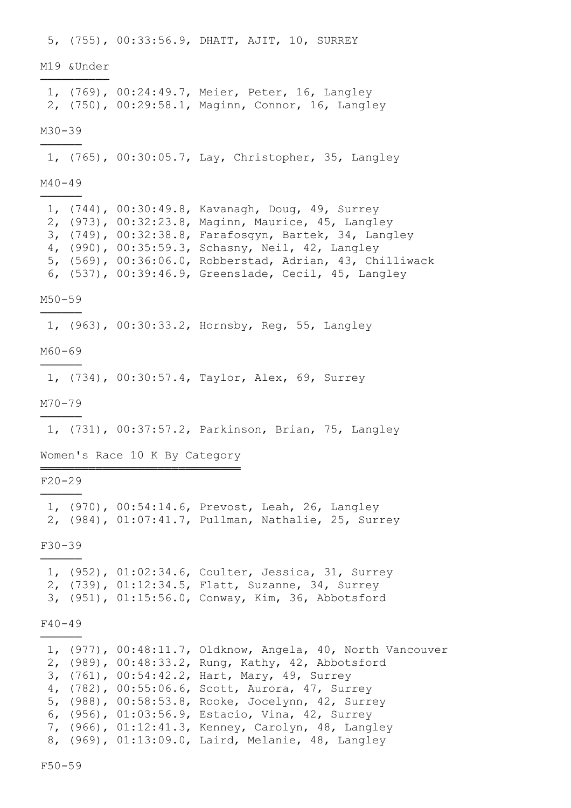5, (755), 00:33:56.9, DHATT, AJIT, 10, SURREY M19 &Under ────────── 1, (769), 00:24:49.7, Meier, Peter, 16, Langley 2, (750), 00:29:58.1, Maginn, Connor, 16, Langley M30-39 ────── 1, (765), 00:30:05.7, Lay, Christopher, 35, Langley M40-49 ────── 1, (744), 00:30:49.8, Kavanagh, Doug, 49, Surrey 2, (973), 00:32:23.8, Maginn, Maurice, 45, Langley 3, (749), 00:32:38.8, Farafosgyn, Bartek, 34, Langley 4, (990), 00:35:59.3, Schasny, Neil, 42, Langley 5, (569), 00:36:06.0, Robberstad, Adrian, 43, Chilliwack 6, (537), 00:39:46.9, Greenslade, Cecil, 45, Langley M50-59 ────── 1, (963), 00:30:33.2, Hornsby, Reg, 55, Langley M60-69 ────── 1, (734), 00:30:57.4, Taylor, Alex, 69, Surrey M70-79 ────── 1, (731), 00:37:57.2, Parkinson, Brian, 75, Langley Women's Race 10 K By Category ═════════════════════════════ F20-29 ────── 1, (970), 00:54:14.6, Prevost, Leah, 26, Langley 2, (984), 01:07:41.7, Pullman, Nathalie, 25, Surrey F30-39 ────── 1, (952), 01:02:34.6, Coulter, Jessica, 31, Surrey 2, (739), 01:12:34.5, Flatt, Suzanne, 34, Surrey 3, (951), 01:15:56.0, Conway, Kim, 36, Abbotsford F40-49 ────── 1, (977), 00:48:11.7, Oldknow, Angela, 40, North Vancouver 2, (989), 00:48:33.2, Rung, Kathy, 42, Abbotsford 3, (761), 00:54:42.2, Hart, Mary, 49, Surrey 4, (782), 00:55:06.6, Scott, Aurora, 47, Surrey 5, (988), 00:58:53.8, Rooke, Jocelynn, 42, Surrey 6, (956), 01:03:56.9, Estacio, Vina, 42, Surrey 7, (966), 01:12:41.3, Kenney, Carolyn, 48, Langley 8, (969), 01:13:09.0, Laird, Melanie, 48, Langley

F50-59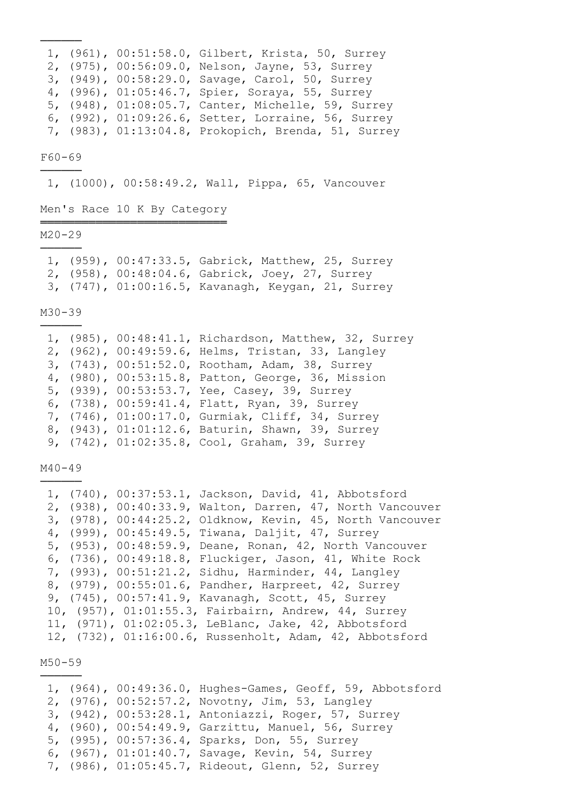|  | 1, (961), 00:51:58.0, Gilbert, Krista, 50, Surrey   |
|--|-----------------------------------------------------|
|  | 2, (975), 00:56:09.0, Nelson, Jayne, 53, Surrey     |
|  | 3, (949), 00:58:29.0, Savage, Carol, 50, Surrey     |
|  | 4, (996), 01:05:46.7, Spier, Soraya, 55, Surrey     |
|  | 5, (948), 01:08:05.7, Canter, Michelle, 59, Surrey  |
|  | 6, (992), 01:09:26.6, Setter, Lorraine, 56, Surrey  |
|  | 7, (983), 01:13:04.8, Prokopich, Brenda, 51, Surrey |

## F60-69 ──────

──────

1, (1000), 00:58:49.2, Wall, Pippa, 65, Vancouver

# Men's Race 10 K By Category ═══════════════════════════

## M20-29 ──────

|  | 1, (959), 00:47:33.5, Gabrick, Matthew, 25, Surrey |  |  |
|--|----------------------------------------------------|--|--|
|  | 2, (958), 00:48:04.6, Gabrick, Joey, 27, Surrey    |  |  |
|  | 3, (747), 01:00:16.5, Kavanagh, Keygan, 21, Surrey |  |  |

#### M30-39

──────

|  | 1, (985), 00:48:41.1, Richardson, Matthew, 32, Surrey |
|--|-------------------------------------------------------|
|  | 2, (962), 00:49:59.6, Helms, Tristan, 33, Langley     |
|  | 3, (743), 00:51:52.0, Rootham, Adam, 38, Surrey       |
|  | 4, (980), 00:53:15.8, Patton, George, 36, Mission     |
|  | 5, (939), 00:53:53.7, Yee, Casey, 39, Surrey          |
|  | 6, (738), 00:59:41.4, Flatt, Ryan, 39, Surrey         |
|  | 7, (746), 01:00:17.0, Gurmiak, Cliff, 34, Surrey      |
|  | 8, (943), 01:01:12.6, Baturin, Shawn, 39, Surrey      |
|  | 9, (742), 01:02:35.8, Cool, Graham, 39, Surrey        |

#### M40-49 ──────

|  | 1, (740), 00:37:53.1, Jackson, David, 41, Abbotsford |                                                           |
|--|------------------------------------------------------|-----------------------------------------------------------|
|  |                                                      | 2, (938), 00:40:33.9, Walton, Darren, 47, North Vancouver |
|  |                                                      | 3, (978), 00:44:25.2, Oldknow, Kevin, 45, North Vancouver |
|  | 4, (999), 00:45:49.5, Tiwana, Daljit, 47, Surrey     |                                                           |
|  |                                                      | 5, (953), 00:48:59.9, Deane, Ronan, 42, North Vancouver   |
|  |                                                      | 6, (736), 00:49:18.8, Fluckiger, Jason, 41, White Rock    |
|  | 7, (993), 00:51:21.2, Sidhu, Harminder, 44, Langley  |                                                           |
|  | 8, (979), 00:55:01.6, Pandher, Harpreet, 42, Surrey  |                                                           |
|  | 9, (745), 00:57:41.9, Kavanagh, Scott, 45, Surrey    |                                                           |
|  | 10, (957), 01:01:55.3, Fairbairn, Andrew, 44, Surrey |                                                           |
|  | 11, (971), 01:02:05.3, LeBlanc, Jake, 42, Abbotsford |                                                           |
|  |                                                      | 12, (732), 01:16:00.6, Russenholt, Adam, 42, Abbotsford   |

M50-59 ──────

|  | 1, (964), 00:49:36.0, Hughes-Games, Geoff, 59, Abbotsford |
|--|-----------------------------------------------------------|
|  | 2, (976), 00:52:57.2, Novotny, Jim, 53, Langley           |
|  | 3, (942), 00:53:28.1, Antoniazzi, Roger, 57, Surrey       |
|  | 4, (960), 00:54:49.9, Garzittu, Manuel, 56, Surrey        |
|  | 5, (995), 00:57:36.4, Sparks, Don, 55, Surrey             |
|  | 6, (967), 01:01:40.7, Savage, Kevin, 54, Surrey           |
|  | 7, (986), 01:05:45.7, Rideout, Glenn, 52, Surrey          |